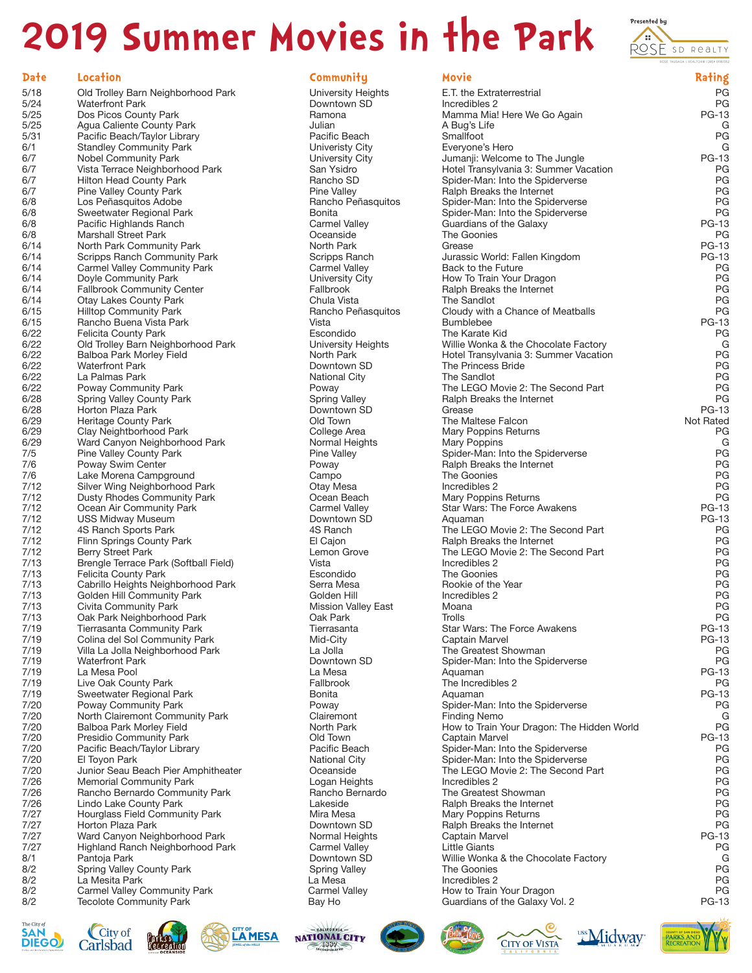# **2019 Summer Movies in the Park Presented by ADDRESS SD Reality**





| Date | Location                              | Community                  | <b>Movie</b>                               | Rating       |
|------|---------------------------------------|----------------------------|--------------------------------------------|--------------|
| 5/18 | Old Trolley Barn Neighborhood Park    | University Heights         | E.T. the Extraterrestrial                  | PG           |
| 5/24 | <b>Waterfront Park</b>                | Downtown SD                | Incredibles 2                              | PG           |
| 5/25 | Dos Picos County Park                 | Ramona                     | Mamma Mia! Here We Go Again                | <b>PG-13</b> |
| 5/25 | Agua Caliente County Park             | Julian                     | A Bug's Life                               | G            |
| 5/31 | Pacific Beach/Taylor Library          | Pacific Beach              | Smallfoot                                  | PG           |
| 6/1  | <b>Standley Community Park</b>        | Univeristy City            | Everyone's Hero                            | G            |
| 6/7  | Nobel Community Park                  | University City            | Jumanji: Welcome to The Jungle             | <b>PG-13</b> |
|      |                                       |                            |                                            |              |
| 6/7  | Vista Terrace Neighborhood Park       | San Ysidro                 | Hotel Transylvania 3: Summer Vacation      | PG           |
| 6/7  | Hilton Head County Park               | Rancho SD                  | Spider-Man: Into the Spiderverse           | PG           |
| 6/7  | Pine Valley County Park               | Pine Valley                | Ralph Breaks the Internet                  | PG           |
| 6/8  | Los Peñasquitos Adobe                 | Rancho Peñasquitos         | Spider-Man: Into the Spiderverse           | PG           |
| 6/8  | Sweetwater Regional Park              | Bonita                     | Spider-Man: Into the Spiderverse           | PG           |
| 6/8  | Pacific Highlands Ranch               | <b>Carmel Valley</b>       | Guardians of the Galaxy                    | <b>PG-13</b> |
| 6/8  | <b>Marshall Street Park</b>           | Oceanside                  | The Goonies                                | PG           |
| 6/14 | North Park Community Park             | North Park                 | Grease                                     | <b>PG-13</b> |
| 6/14 | Scripps Ranch Community Park          | Scripps Ranch              | Jurassic World: Fallen Kingdom             | <b>PG-13</b> |
| 6/14 | <b>Carmel Valley Community Park</b>   | Carmel Valley              | Back to the Future                         | PG           |
| 6/14 | Doyle Community Park                  | University City            | How To Train Your Dragon                   | PG           |
| 6/14 | <b>Fallbrook Community Center</b>     | Fallbrook                  | Ralph Breaks the Internet                  | PG           |
| 6/14 | <b>Otay Lakes County Park</b>         | Chula Vista                | The Sandlot                                | PG           |
| 6/15 | <b>Hilltop Community Park</b>         | Rancho Peñasquitos         | Cloudy with a Chance of Meatballs          | PG           |
| 6/15 | Rancho Buena Vista Park               | Vista                      | <b>Bumblebee</b>                           | <b>PG-13</b> |
| 6/22 | Felicita County Park                  | Escondido                  | The Karate Kid                             | PG           |
| 6/22 | Old Trolley Barn Neighborhood Park    | University Heights         | Willie Wonka & the Chocolate Factory       | G            |
| 6/22 | Balboa Park Morley Field              | North Park                 | Hotel Transylvania 3: Summer Vacation      | PG           |
| 6/22 | <b>Waterfront Park</b>                | Downtown SD                | The Princess Bride                         | PG           |
| 6/22 | La Palmas Park                        | <b>National City</b>       | The Sandlot                                | PG           |
| 6/22 | Poway Community Park                  | Poway                      | The LEGO Movie 2: The Second Part          | PG           |
| 6/28 | Spring Valley County Park             | <b>Spring Valley</b>       | Ralph Breaks the Internet                  | PG           |
| 6/28 | Horton Plaza Park                     | Downtown SD                | Grease                                     | <b>PG-13</b> |
|      | <b>Heritage County Park</b>           | Old Town                   | The Maltese Falcon                         | Not Rated    |
| 6/29 |                                       |                            |                                            |              |
| 6/29 | Clay Neightborhood Park               | College Area               | <b>Mary Poppins Returns</b>                | PG           |
| 6/29 | Ward Canyon Neighborhood Park         | Normal Heights             | Mary Poppins                               | G            |
| 7/5  | Pine Valley County Park               | Pine Valley                | Spider-Man: Into the Spiderverse           | PG           |
| 7/6  | Poway Swim Center                     | Poway                      | Ralph Breaks the Internet                  | PG           |
| 7/6  | Lake Morena Campground                | Campo                      | The Goonies                                | PG           |
| 7/12 | Silver Wing Neighborhood Park         | Otay Mesa                  | Incredibles 2                              | PG           |
| 7/12 | Dusty Rhodes Community Park           | Ocean Beach                | Mary Poppins Returns                       | PG           |
| 7/12 | Ocean Air Community Park              | <b>Carmel Valley</b>       | Star Wars: The Force Awakens               | <b>PG-13</b> |
| 7/12 | <b>USS Midway Museum</b>              | Downtown SD                | Aquaman                                    | <b>PG-13</b> |
| 7/12 | 4S Ranch Sports Park                  | 4S Ranch                   | The LEGO Movie 2: The Second Part          | PG           |
| 7/12 | Flinn Springs County Park             | El Cajon                   | Ralph Breaks the Internet                  | PG           |
| 7/12 | Berry Street Park                     | Lemon Grove                | The LEGO Movie 2: The Second Part          | PG           |
| 7/13 | Brengle Terrace Park (Softball Field) | Vista                      | Incredibles 2                              | PG           |
| 7/13 | Felicita County Park                  | Escondido                  | The Goonies                                | PG           |
| 7/13 | Cabrillo Heights Neighborhood Park    | Serra Mesa                 | Rookie of the Year                         | PG           |
| 7/13 | Golden Hill Community Park            | Golden Hill                | Incredibles 2                              | PG           |
| 7/13 | Civita Community Park                 | <b>Mission Valley East</b> | Moana                                      | PG           |
| 7/13 | Oak Park Neighborhood Park            | Oak Park                   | Trolls                                     | PG           |
| 7/19 | <b>Tierrasanta Community Park</b>     | Tierrasanta                | Star Wars: The Force Awakens               | <b>PG-13</b> |
| 7/19 | Colina del Sol Community Park         | Mid-City                   | Captain Marvel                             | <b>PG-13</b> |
| 7/19 | Villa La Jolla Neighborhood Park      | La Jolla                   | The Greatest Showman                       | PG           |
| 7/19 | <b>Waterfront Park</b>                | Downtown SD                | Spider-Man: Into the Spiderverse           | PG           |
| 7/19 | La Mesa Pool                          | La Mesa                    | Aquaman                                    | <b>PG-13</b> |
| 7/19 | Live Oak County Park                  | Fallbrook                  | The Incredibles 2                          | PG           |
| 7/19 | Sweetwater Regional Park              | Bonita                     | Aquaman                                    | PG-13        |
| 7/20 | Poway Community Park                  | Poway                      | Spider-Man: Into the Spiderverse           | PG           |
| 7/20 | North Clairemont Community Park       | Clairemont                 | <b>Finding Nemo</b>                        | G            |
| 7/20 | Balboa Park Morley Field              | North Park                 | How to Train Your Dragon: The Hidden World | PG           |
| 7/20 | Presidio Community Park               | Old Town                   | Captain Marvel                             | <b>PG-13</b> |
| 7/20 | Pacific Beach/Taylor Library          | Pacific Beach              | Spider-Man: Into the Spiderverse           | PG           |
| 7/20 | El Toyon Park                         | <b>National City</b>       | Spider-Man: Into the Spiderverse           | PG           |
| 7/20 | Junior Seau Beach Pier Amphitheater   | Oceanside                  | The LEGO Movie 2: The Second Part          | PG           |
|      |                                       |                            |                                            |              |
| 7/26 | <b>Memorial Community Park</b>        | Logan Heights              | Incredibles 2                              | PG           |
| 7/26 | Rancho Bernardo Community Park        | Rancho Bernardo            | The Greatest Showman                       | PG           |
| 7/26 | Lindo Lake County Park                | Lakeside                   | Ralph Breaks the Internet                  | PG           |
| 7/27 | Hourglass Field Community Park        | Mira Mesa                  | <b>Mary Poppins Returns</b>                | PG           |
| 7/27 | Horton Plaza Park                     | Downtown SD                | Ralph Breaks the Internet                  | PG           |
| 7/27 | Ward Canyon Neighborhood Park         | Normal Heights             | Captain Marvel                             | <b>PG-13</b> |
| 7/27 | Highland Ranch Neighborhood Park      | <b>Carmel Valley</b>       | <b>Little Giants</b>                       | PG           |
| 8/1  | Pantoja Park                          | Downtown SD                | Willie Wonka & the Chocolate Factory       | G            |
| 8/2  | Spring Valley County Park             | <b>Spring Valley</b>       | The Goonies                                | PG           |
| 8/2  | La Mesita Park                        | La Mesa                    | Incredibles 2                              | PG           |
| 8/2  | Carmel Valley Community Park          | <b>Carmel Valley</b>       | How to Train Your Dragon                   | PG           |
| 8/2  | <b>Tecolote Community Park</b>        | Bay Ho                     | Guardians of the Galaxy Vol. 2             | <b>PG-13</b> |